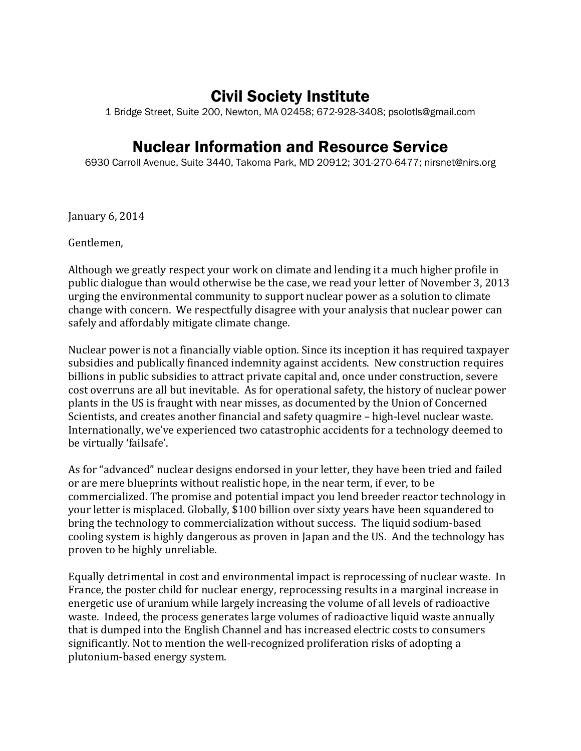# Civil Society Institute

1 Bridge Street, Suite 200, Newton, MA 02458; 672-928-3408; psolotls@gmail.com

## Nuclear Information and Resource Service

6930 Carroll Avenue, Suite 3440, Takoma Park, MD 20912; 301-270-6477; nirsnet@nirs.org

January 6, 2014

Gentlemen,

Although we greatly respect your work on climate and lending it a much higher profile in public dialogue than would otherwise be the case, we read your letter of November 3, 2013 urging the environmental community to support nuclear power as a solution to climate change with concern. We respectfully disagree with your analysis that nuclear power can safely and affordably mitigate climate change.

Nuclear power is not a financially viable option. Since its inception it has required taxpayer subsidies and publically financed indemnity against accidents. New construction requires billions in public subsidies to attract private capital and, once under construction, severe cost overruns are all but inevitable. As for operational safety, the history of nuclear power plants in the US is fraught with near misses, as documented by the Union of Concerned Scientists, and creates another financial and safety quagmire – high-level nuclear waste. Internationally, we've experienced two catastrophic accidents for a technology deemed to be virtually 'failsafe'.

As for "advanced" nuclear designs endorsed in your letter, they have been tried and failed or are mere blueprints without realistic hope, in the near term, if ever, to be commercialized. The promise and potential impact you lend breeder reactor technology in your letter is misplaced. Globally, \$100 billion over sixty years have been squandered to bring the technology to commercialization without success. The liquid sodium-based cooling system is highly dangerous as proven in Japan and the US. And the technology has proven to be highly unreliable.

Equally detrimental in cost and environmental impact is reprocessing of nuclear waste. In France, the poster child for nuclear energy, reprocessing results in a marginal increase in energetic use of uranium while largely increasing the volume of all levels of radioactive waste. Indeed, the process generates large volumes of radioactive liquid waste annually that is dumped into the English Channel and has increased electric costs to consumers significantly. Not to mention the well-recognized proliferation risks of adopting a plutonium-based energy system.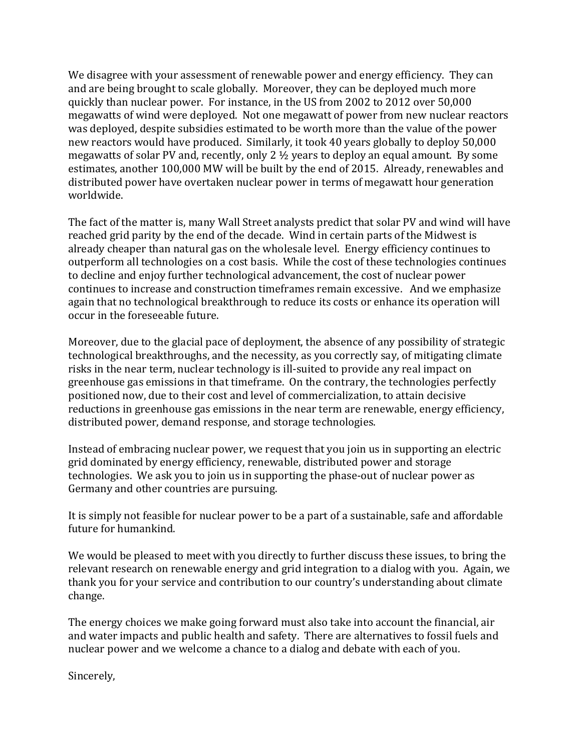We disagree with your assessment of renewable power and energy efficiency. They can and are being brought to scale globally. Moreover, they can be deployed much more quickly than nuclear power. For instance, in the US from 2002 to 2012 over 50,000 megawatts of wind were deployed. Not one megawatt of power from new nuclear reactors was deployed, despite subsidies estimated to be worth more than the value of the power new reactors would have produced. Similarly, it took 40 years globally to deploy 50,000 megawatts of solar PV and, recently, only 2  $\frac{1}{2}$  years to deploy an equal amount. By some estimates, another 100,000 MW will be built by the end of 2015. Already, renewables and distributed power have overtaken nuclear power in terms of megawatt hour generation worldwide.

The fact of the matter is, many Wall Street analysts predict that solar PV and wind will have reached grid parity by the end of the decade. Wind in certain parts of the Midwest is already cheaper than natural gas on the wholesale level. Energy efficiency continues to outperform all technologies on a cost basis. While the cost of these technologies continues to decline and enjoy further technological advancement, the cost of nuclear power continues to increase and construction timeframes remain excessive. And we emphasize again that no technological breakthrough to reduce its costs or enhance its operation will occur in the foreseeable future.

Moreover, due to the glacial pace of deployment, the absence of any possibility of strategic technological breakthroughs, and the necessity, as you correctly say, of mitigating climate risks in the near term, nuclear technology is ill-suited to provide any real impact on greenhouse gas emissions in that timeframe. On the contrary, the technologies perfectly positioned now, due to their cost and level of commercialization, to attain decisive reductions in greenhouse gas emissions in the near term are renewable, energy efficiency, distributed power, demand response, and storage technologies.

Instead of embracing nuclear power, we request that you join us in supporting an electric grid dominated by energy efficiency, renewable, distributed power and storage technologies. We ask you to join us in supporting the phase-out of nuclear power as Germany and other countries are pursuing.

It is simply not feasible for nuclear power to be a part of a sustainable, safe and affordable future for humankind.

We would be pleased to meet with you directly to further discuss these issues, to bring the relevant research on renewable energy and grid integration to a dialog with you. Again, we thank you for your service and contribution to our country's understanding about climate change.

The energy choices we make going forward must also take into account the financial, air and water impacts and public health and safety. There are alternatives to fossil fuels and nuclear power and we welcome a chance to a dialog and debate with each of you.

Sincerely,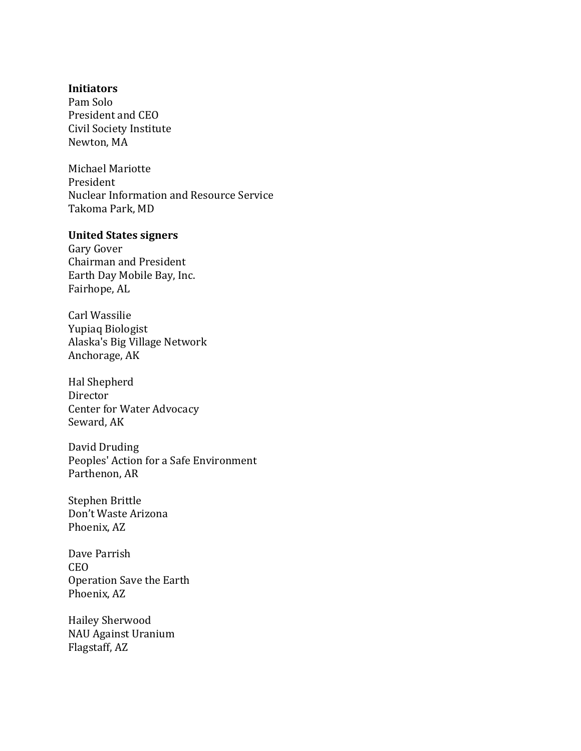#### **Initiators**

Pam Solo President and CEO Civil Society Institute Newton, MA

Michael Mariotte President Nuclear Information and Resource Service Takoma Park, MD

### **United States signers**

Gary Gover Chairman and President Earth Day Mobile Bay, Inc. Fairhope, AL

Carl Wassilie Yupiaq Biologist Alaska's Big Village Network Anchorage, AK

Hal Shepherd Director Center for Water Advocacy Seward, AK

David Druding Peoples' Action for a Safe Environment Parthenon, AR

Stephen Brittle Don't Waste Arizona Phoenix, AZ

Dave Parrish CEO Operation Save the Earth Phoenix, AZ

Hailey Sherwood NAU Against Uranium Flagstaff, AZ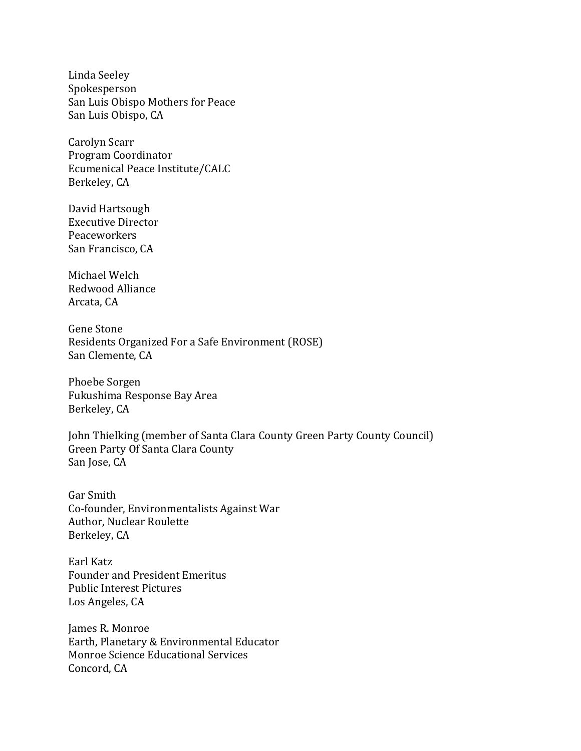Linda Seeley Spokesperson San Luis Obispo Mothers for Peace San Luis Obispo, CA

Carolyn Scarr Program Coordinator Ecumenical Peace Institute/CALC Berkeley, CA

David Hartsough Executive Director Peaceworkers San Francisco, CA

Michael Welch Redwood Alliance Arcata, CA

Gene Stone Residents Organized For a Safe Environment (ROSE) San Clemente, CA

Phoebe Sorgen Fukushima Response Bay Area Berkeley, CA

John Thielking (member of Santa Clara County Green Party County Council) Green Party Of Santa Clara County San Jose, CA

Gar Smith Co-founder, Environmentalists Against War Author, Nuclear Roulette Berkeley, CA

Earl Katz Founder and President Emeritus Public Interest Pictures Los Angeles, CA

James R. Monroe Earth, Planetary & Environmental Educator Monroe Science Educational Services Concord, CA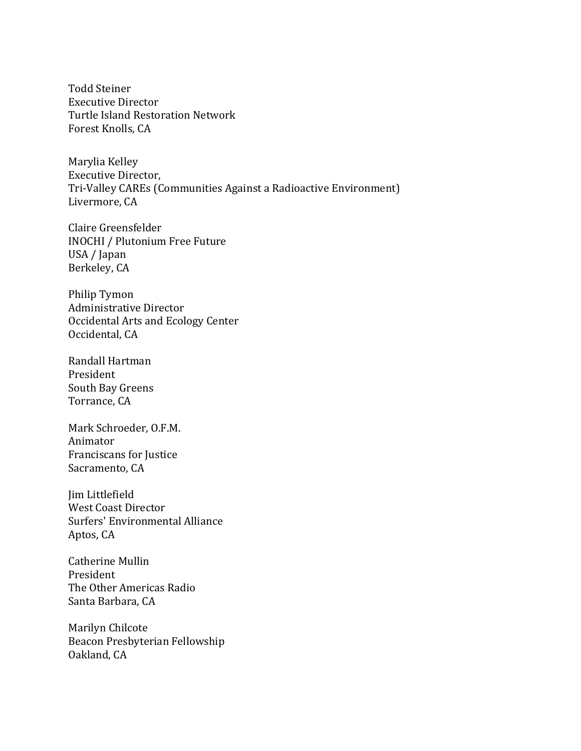Todd Steiner Executive Director Turtle Island Restoration Network Forest Knolls, CA

Marylia Kelley Executive Director, Tri-Valley CAREs (Communities Against a Radioactive Environment) Livermore, CA

Claire Greensfelder INOCHI / Plutonium Free Future USA / Japan Berkeley, CA

Philip Tymon Administrative Director Occidental Arts and Ecology Center Occidental, CA

Randall Hartman President South Bay Greens Torrance, CA

Mark Schroeder, O.F.M. Animator Franciscans for Justice Sacramento, CA

Jim Littlefield West Coast Director Surfers' Environmental Alliance Aptos, CA

Catherine Mullin President The Other Americas Radio Santa Barbara, CA

Marilyn Chilcote Beacon Presbyterian Fellowship Oakland, CA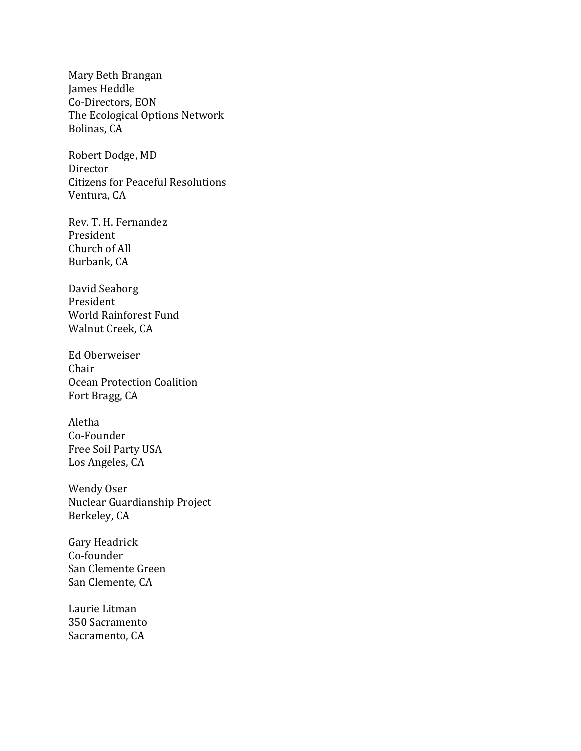Mary Beth Brangan James Heddle Co-Directors, EON The Ecological Options Network Bolinas, CA

Robert Dodge, MD Director Citizens for Peaceful Resolutions Ventura, CA

Rev. T. H. Fernandez President Church of All Burbank, CA

David Seaborg President World Rainforest Fund Walnut Creek, CA

Ed Oberweiser Chair Ocean Protection Coalition Fort Bragg, CA

Aletha Co-Founder Free Soil Party USA Los Angeles, CA

Wendy Oser Nuclear Guardianship Project Berkeley, CA

Gary Headrick Co-founder San Clemente Green San Clemente, CA

Laurie Litman 350 Sacramento Sacramento, CA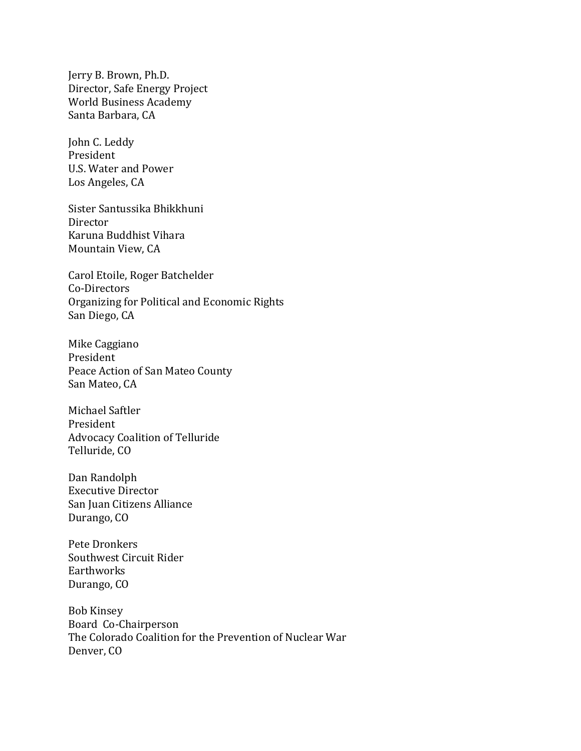Jerry B. Brown, Ph.D. Director, Safe Energy Project World Business Academy Santa Barbara, CA

John C. Leddy President U.S. Water and Power Los Angeles, CA

Sister Santussika Bhikkhuni Director Karuna Buddhist Vihara Mountain View, CA

Carol Etoile, Roger Batchelder Co-Directors Organizing for Political and Economic Rights San Diego, CA

Mike Caggiano President Peace Action of San Mateo County San Mateo, CA

Michael Saftler President Advocacy Coalition of Telluride Telluride, CO

Dan Randolph Executive Director San Juan Citizens Alliance Durango, CO

Pete Dronkers Southwest Circuit Rider Earthworks Durango, CO

Bob Kinsey Board Co-Chairperson The Colorado Coalition for the Prevention of Nuclear War Denver, CO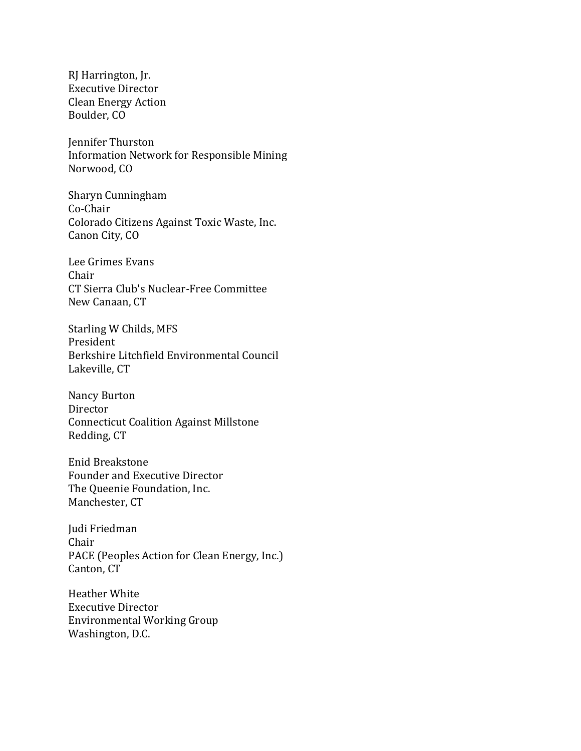RJ Harrington, Jr. Executive Director Clean Energy Action Boulder, CO

Jennifer Thurston Information Network for Responsible Mining Norwood, CO

Sharyn Cunningham Co-Chair Colorado Citizens Against Toxic Waste, Inc. Canon City, CO

Lee Grimes Evans Chair CT Sierra Club's Nuclear-Free Committee New Canaan, CT

Starling W Childs, MFS President Berkshire Litchfield Environmental Council Lakeville, CT

Nancy Burton Director Connecticut Coalition Against Millstone Redding, CT

Enid Breakstone Founder and Executive Director The Queenie Foundation, Inc. Manchester, CT

Judi Friedman Chair PACE (Peoples Action for Clean Energy, Inc.) Canton, CT

Heather White Executive Director Environmental Working Group Washington, D.C.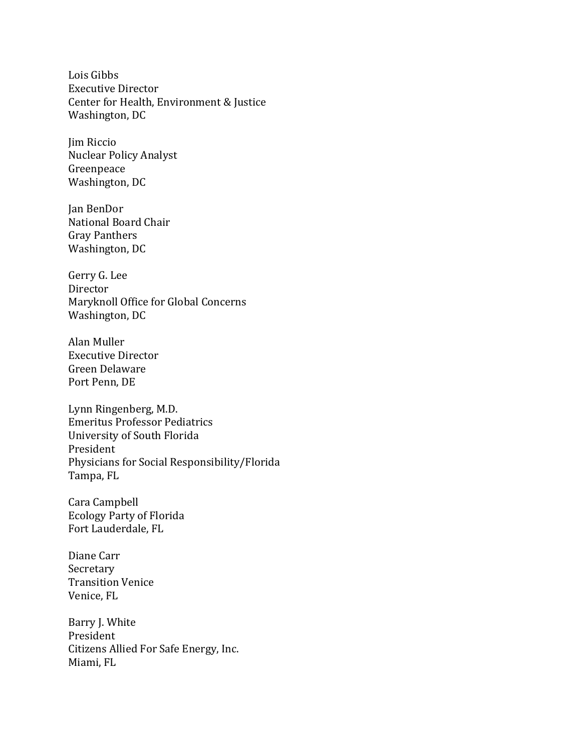Lois Gibbs Executive Director Center for Health, Environment & Justice Washington, DC

Jim Riccio Nuclear Policy Analyst Greenpeace Washington, DC

Jan BenDor National Board Chair Gray Panthers Washington, DC

Gerry G. Lee Director Maryknoll Office for Global Concerns Washington, DC

Alan Muller Executive Director Green Delaware Port Penn, DE

Lynn Ringenberg, M.D. Emeritus Professor Pediatrics University of South Florida President Physicians for Social Responsibility/Florida Tampa, FL

Cara Campbell Ecology Party of Florida Fort Lauderdale, FL

Diane Carr Secretary Transition Venice Venice, FL

Barry J. White President Citizens Allied For Safe Energy, Inc. Miami, FL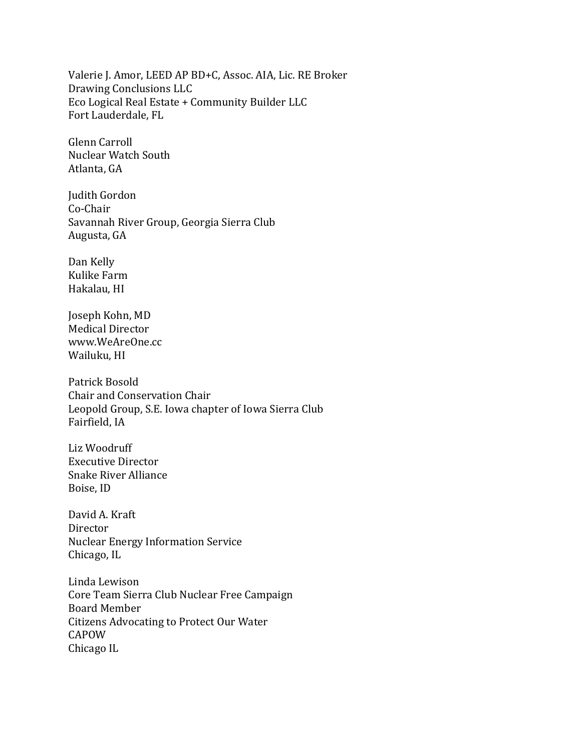Valerie J. Amor, LEED AP BD+C, Assoc. AIA, Lic. RE Broker Drawing Conclusions LLC Eco Logical Real Estate + Community Builder LLC Fort Lauderdale, FL

Glenn Carroll Nuclear Watch South Atlanta, GA

Judith Gordon Co-Chair Savannah River Group, Georgia Sierra Club Augusta, GA

Dan Kelly Kulike Farm Hakalau, HI

Joseph Kohn, MD Medical Director www.WeAreOne.cc Wailuku, HI

Patrick Bosold Chair and Conservation Chair Leopold Group, S.E. Iowa chapter of Iowa Sierra Club Fairfield, IA

Liz Woodruff Executive Director Snake River Alliance Boise, ID

David A. Kraft Director Nuclear Energy Information Service Chicago, IL

Linda Lewison Core Team Sierra Club Nuclear Free Campaign Board Member Citizens Advocating to Protect Our Water CAPOW Chicago IL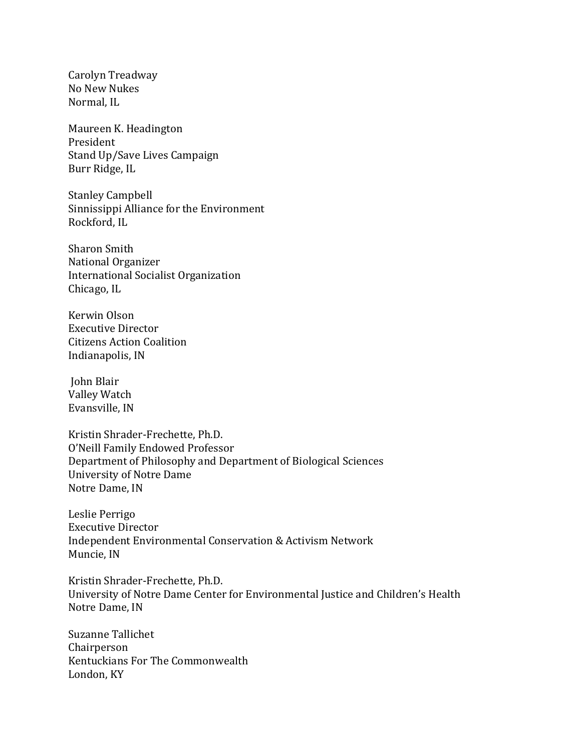Carolyn Treadway No New Nukes Normal, IL

Maureen K. Headington President Stand Up/Save Lives Campaign Burr Ridge, IL

Stanley Campbell Sinnissippi Alliance for the Environment Rockford, IL

Sharon Smith National Organizer International Socialist Organization Chicago, IL

Kerwin Olson Executive Director Citizens Action Coalition Indianapolis, IN

John Blair Valley Watch Evansville, IN

Kristin Shrader-Frechette, Ph.D. O'Neill Family Endowed Professor Department of Philosophy and Department of Biological Sciences University of Notre Dame Notre Dame, IN

Leslie Perrigo Executive Director Independent Environmental Conservation & Activism Network Muncie, IN

Kristin Shrader-Frechette, Ph.D. University of Notre Dame Center for Environmental Justice and Children's Health Notre Dame, IN

Suzanne Tallichet Chairperson Kentuckians For The Commonwealth London, KY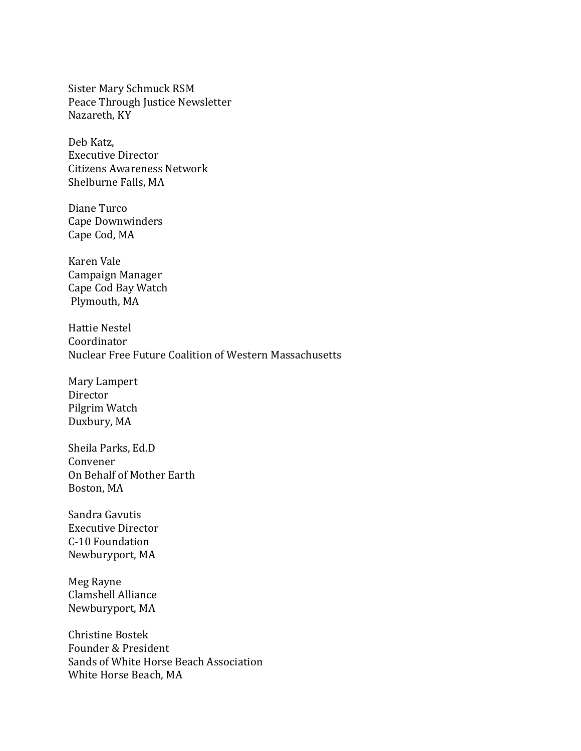Sister Mary Schmuck RSM Peace Through Justice Newsletter Nazareth, KY

Deb Katz, Executive Director Citizens Awareness Network Shelburne Falls, MA

Diane Turco Cape Downwinders Cape Cod, MA

Karen Vale Campaign Manager Cape Cod Bay Watch Plymouth, MA

Hattie Nestel Coordinator Nuclear Free Future Coalition of Western Massachusetts

Mary Lampert Director Pilgrim Watch Duxbury, MA

Sheila Parks, Ed.D Convener On Behalf of Mother Earth Boston, MA

Sandra Gavutis Executive Director C-10 Foundation Newburyport, MA

Meg Rayne Clamshell Alliance Newburyport, MA

Christine Bostek Founder & President Sands of White Horse Beach Association White Horse Beach, MA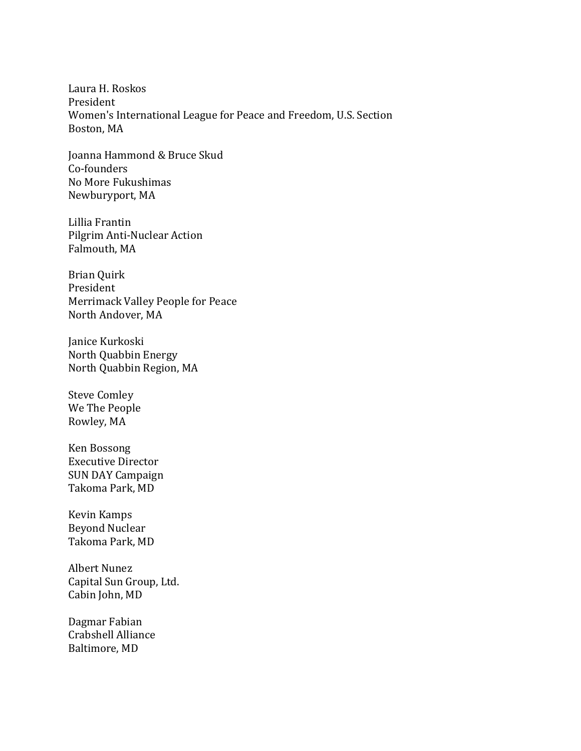Laura H. Roskos President Women's International League for Peace and Freedom, U.S. Section Boston, MA

Joanna Hammond & Bruce Skud Co-founders No More Fukushimas Newburyport, MA

Lillia Frantin Pilgrim Anti-Nuclear Action Falmouth, MA

Brian Quirk President Merrimack Valley People for Peace North Andover, MA

Janice Kurkoski North Quabbin Energy North Quabbin Region, MA

Steve Comley We The People Rowley, MA

Ken Bossong Executive Director SUN DAY Campaign Takoma Park, MD

Kevin Kamps Beyond Nuclear Takoma Park, MD

Albert Nunez Capital Sun Group, Ltd. Cabin John, MD

Dagmar Fabian Crabshell Alliance Baltimore, MD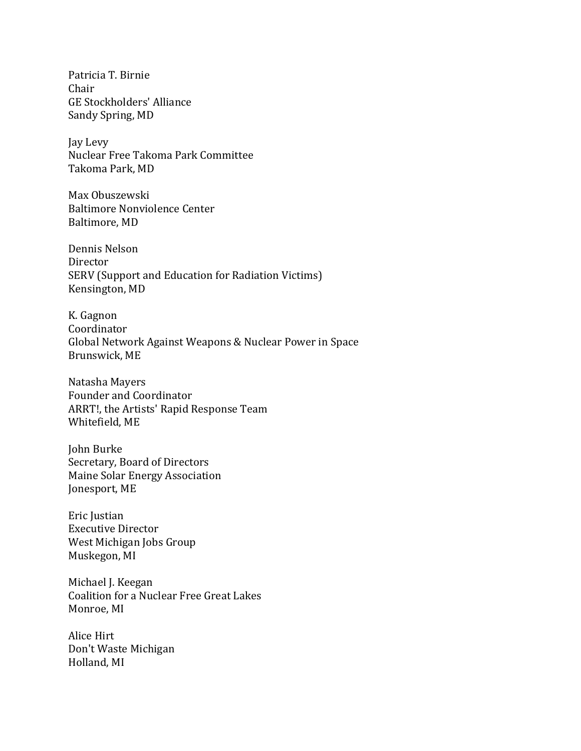Patricia T. Birnie Chair GE Stockholders' Alliance Sandy Spring, MD

Jay Levy Nuclear Free Takoma Park Committee Takoma Park, MD

Max Obuszewski Baltimore Nonviolence Center Baltimore, MD

Dennis Nelson Director SERV (Support and Education for Radiation Victims) Kensington, MD

K. Gagnon Coordinator Global Network Against Weapons & Nuclear Power in Space Brunswick, ME

Natasha Mayers Founder and Coordinator ARRT!, the Artists' Rapid Response Team Whitefield, ME

John Burke Secretary, Board of Directors Maine Solar Energy Association Jonesport, ME

Eric Justian Executive Director West Michigan Jobs Group Muskegon, MI

Michael J. Keegan Coalition for a Nuclear Free Great Lakes Monroe, MI

Alice Hirt Don't Waste Michigan Holland, MI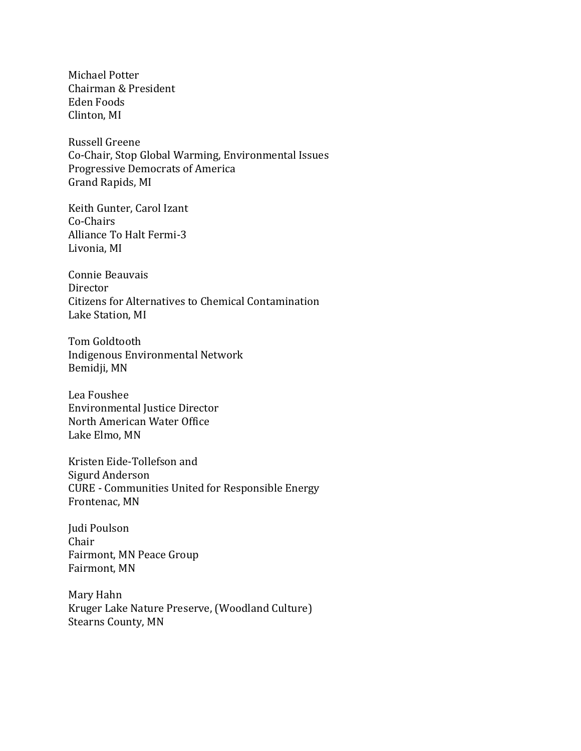Michael Potter Chairman & President Eden Foods Clinton, MI

Russell Greene Co-Chair, Stop Global Warming, Environmental Issues Progressive Democrats of America Grand Rapids, MI

Keith Gunter, Carol Izant Co-Chairs Alliance To Halt Fermi-3 Livonia, MI

Connie Beauvais Director Citizens for Alternatives to Chemical Contamination Lake Station, MI

Tom Goldtooth Indigenous Environmental Network Bemidji, MN

Lea Foushee Environmental Justice Director North American Water Office Lake Elmo, MN

Kristen Eide-Tollefson and Sigurd Anderson CURE - Communities United for Responsible Energy Frontenac, MN

Judi Poulson Chair Fairmont, MN Peace Group Fairmont, MN

Mary Hahn Kruger Lake Nature Preserve, (Woodland Culture) Stearns County, MN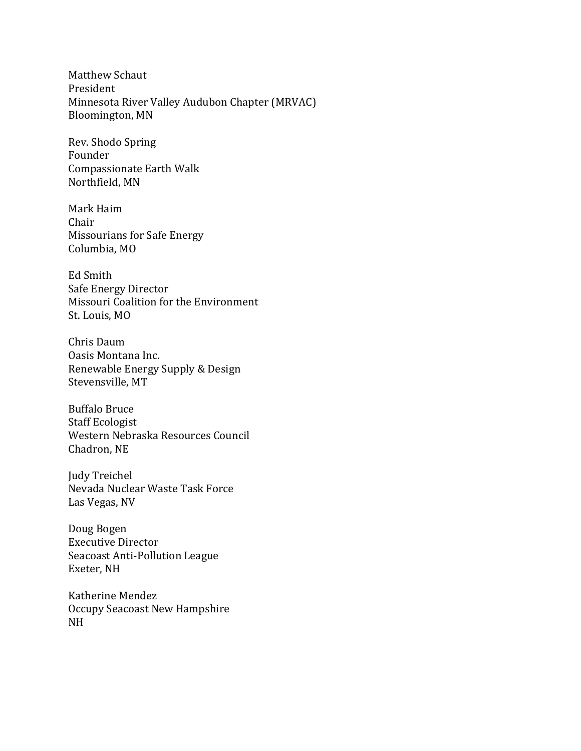Matthew Schaut President Minnesota River Valley Audubon Chapter (MRVAC) Bloomington, MN

Rev. Shodo Spring Founder Compassionate Earth Walk Northfield, MN

Mark Haim Chair Missourians for Safe Energy Columbia, MO

Ed Smith Safe Energy Director Missouri Coalition for the Environment St. Louis, MO

Chris Daum Oasis Montana Inc. Renewable Energy Supply & Design Stevensville, MT

Buffalo Bruce Staff Ecologist Western Nebraska Resources Council Chadron, NE

Judy Treichel Nevada Nuclear Waste Task Force Las Vegas, NV

Doug Bogen Executive Director Seacoast Anti-Pollution League Exeter, NH

Katherine Mendez Occupy Seacoast New Hampshire NH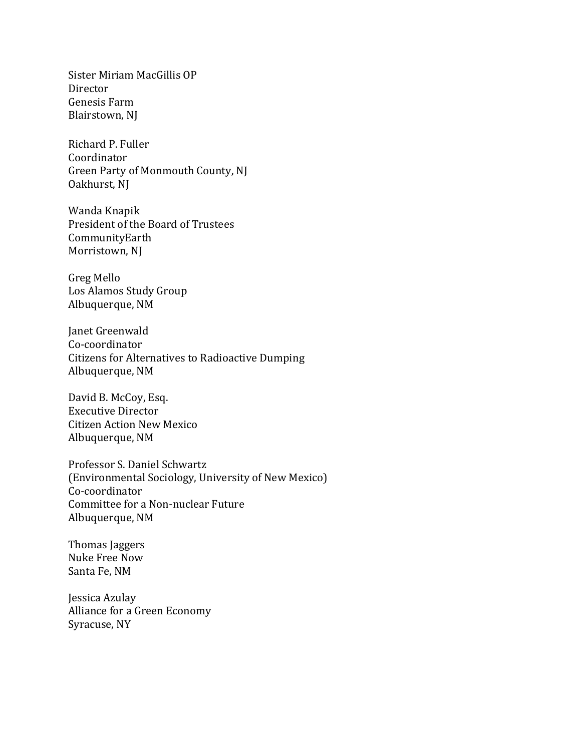Sister Miriam MacGillis OP Director Genesis Farm Blairstown, NJ

Richard P. Fuller Coordinator Green Party of Monmouth County, NJ Oakhurst, NJ

Wanda Knapik President of the Board of Trustees CommunityEarth Morristown, NJ

Greg Mello Los Alamos Study Group Albuquerque, NM

Janet Greenwald Co-coordinator Citizens for Alternatives to Radioactive Dumping Albuquerque, NM

David B. McCoy, Esq. Executive Director Citizen Action New Mexico Albuquerque, NM

Professor S. Daniel Schwartz (Environmental Sociology, University of New Mexico) Co-coordinator Committee for a Non-nuclear Future Albuquerque, NM

Thomas Jaggers Nuke Free Now Santa Fe, NM

Jessica Azulay Alliance for a Green Economy Syracuse, NY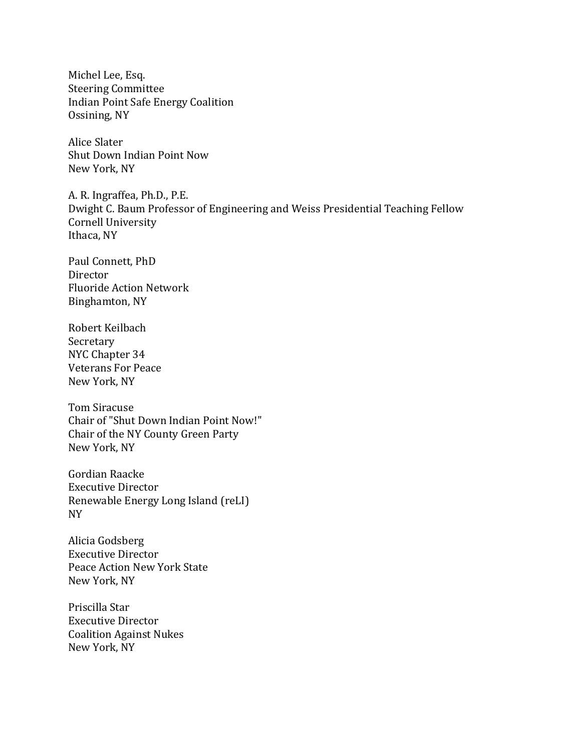Michel Lee, Esq. Steering Committee Indian Point Safe Energy Coalition Ossining, NY

Alice Slater Shut Down Indian Point Now New York, NY

A. R. Ingraffea, Ph.D., P.E. Dwight C. Baum Professor of Engineering and Weiss Presidential Teaching Fellow Cornell University Ithaca, NY

Paul Connett, PhD Director Fluoride Action Network Binghamton, NY

Robert Keilbach Secretary NYC Chapter 34 Veterans For Peace New York, NY

Tom Siracuse Chair of "Shut Down Indian Point Now!" Chair of the NY County Green Party New York, NY

Gordian Raacke Executive Director Renewable Energy Long Island (reLI) NY

Alicia Godsberg Executive Director Peace Action New York State New York, NY

Priscilla Star Executive Director Coalition Against Nukes New York, NY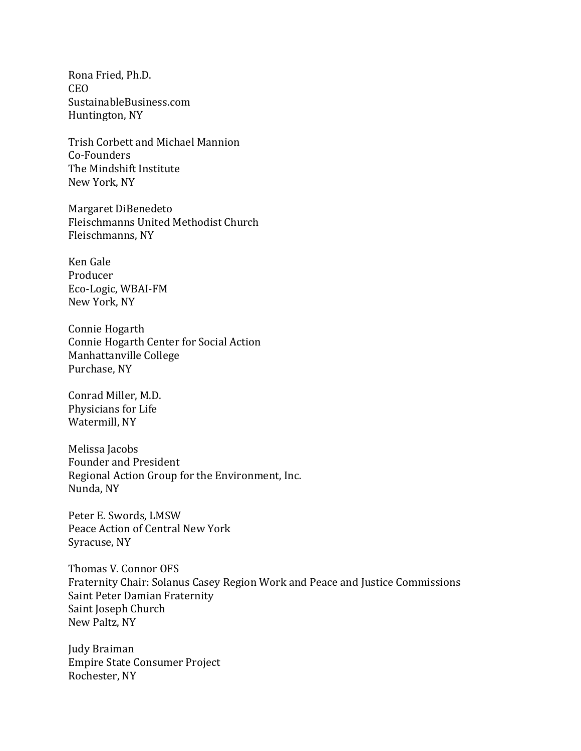Rona Fried, Ph.D. CEO [SustainableBusiness.com](https://mail.nirs.org/owa/redir.aspx?C=978206e25af548d3ad9042407fbbfa58&URL=http%3a%2f%2fwww.sustainablebusiness.com%2f) Huntington, NY

Trish Corbett and Michael Mannion Co-Founders The Mindshift Institute New York, NY

Margaret DiBenedeto Fleischmanns United Methodist Church Fleischmanns, NY

Ken Gale Producer Eco-Logic, WBAI-FM New York, NY

Connie Hogarth Connie Hogarth Center for Social Action Manhattanville College Purchase, NY

Conrad Miller, M.D. Physicians for Life Watermill, NY

Melissa Jacobs Founder and President Regional Action Group for the Environment, Inc. Nunda, NY

Peter E. Swords, LMSW Peace Action of Central New York Syracuse, NY

Thomas V. Connor OFS Fraternity Chair: Solanus Casey Region Work and Peace and Justice Commissions Saint Peter Damian Fraternity Saint Joseph Church New Paltz, NY

Judy Braiman Empire State Consumer Project Rochester, NY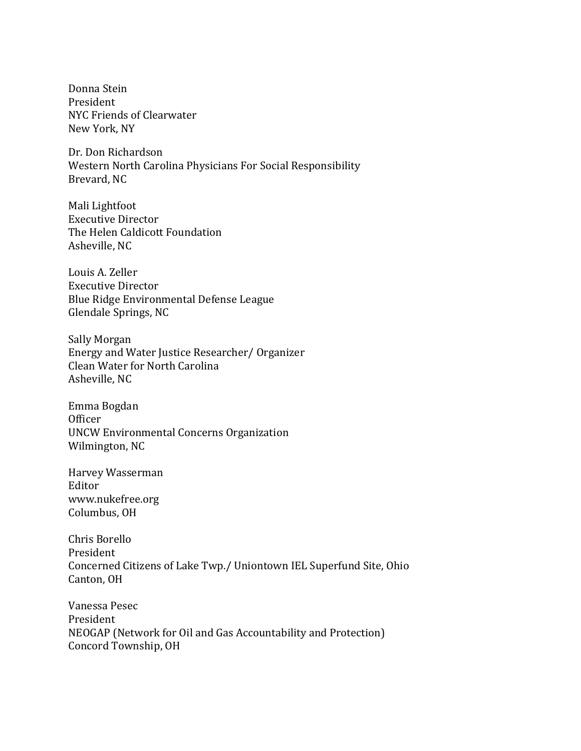Donna Stein President NYC Friends of Clearwater New York, NY

Dr. Don Richardson Western North Carolina Physicians For Social Responsibility Brevard, NC

Mali Lightfoot Executive Director The Helen Caldicott Foundation Asheville, NC

Louis A. Zeller Executive Director Blue Ridge Environmental Defense League Glendale Springs, NC

Sally Morgan Energy and Water Justice Researcher/ Organizer Clean Water for North Carolina Asheville, NC

Emma Bogdan **Officer** UNCW Environmental Concerns Organization Wilmington, NC

Harvey Wasserman Editor www.nukefree.org Columbus, OH

Chris Borello President Concerned Citizens of Lake Twp./ Uniontown IEL Superfund Site, Ohio Canton, OH

Vanessa Pesec President NEOGAP (Network for Oil and Gas Accountability and Protection) Concord Township, OH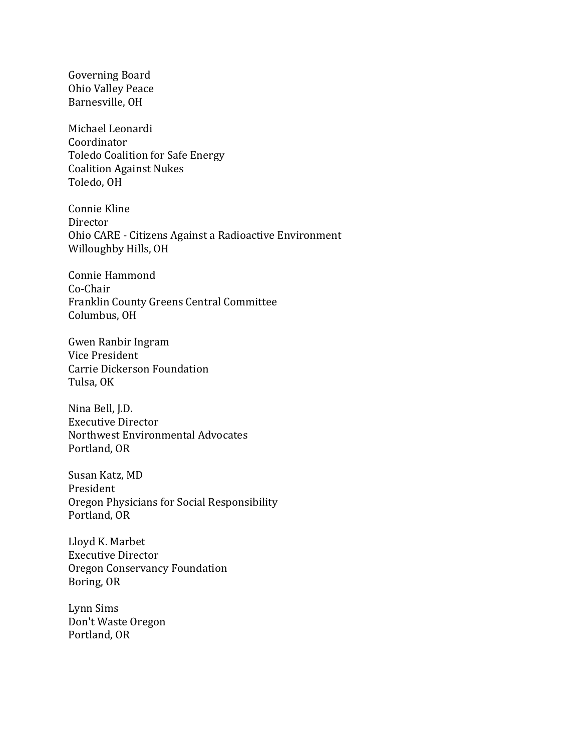Governing Board Ohio Valley Peace Barnesville, OH

Michael Leonardi Coordinator Toledo Coalition for Safe Energy Coalition Against Nukes Toledo, OH

Connie Kline Director Ohio CARE - Citizens Against a Radioactive Environment Willoughby Hills, OH

Connie Hammond Co-Chair Franklin County Greens Central Committee Columbus, OH

Gwen Ranbir Ingram Vice President Carrie Dickerson Foundation Tulsa, OK

Nina Bell, J.D. Executive Director Northwest Environmental Advocates Portland, OR

Susan Katz, MD President Oregon Physicians for Social Responsibility Portland, OR

Lloyd K. Marbet Executive Director Oregon Conservancy Foundation Boring, OR

Lynn Sims Don't Waste Oregon Portland, OR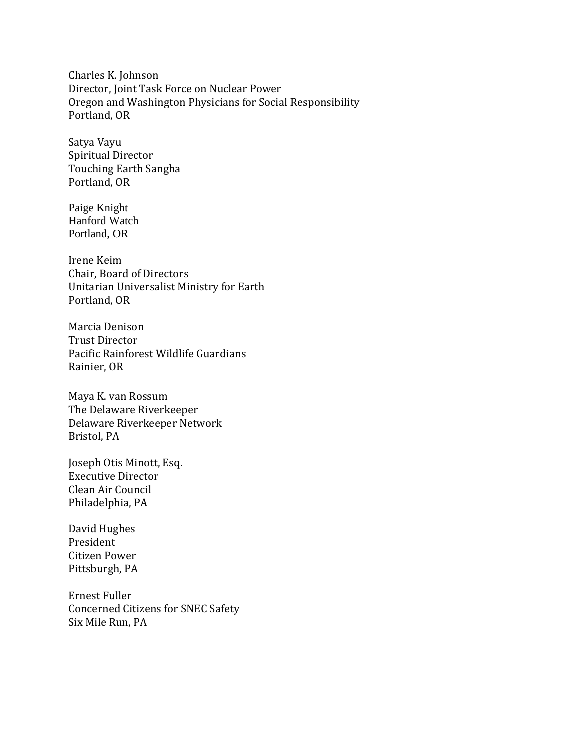Charles K. Johnson Director, Joint Task Force on Nuclear Power Oregon and Washington Physicians for Social Responsibility Portland, OR

Satya Vayu Spiritual Director Touching Earth Sangha Portland, OR

Paige Knight Hanford Watch Portland, OR

Irene Keim Chair, Board of Directors Unitarian Universalist Ministry for Earth Portland, OR

Marcia Denison Trust Director Pacific Rainforest Wildlife Guardians Rainier, OR

Maya K. van Rossum The Delaware Riverkeeper Delaware Riverkeeper Network Bristol, PA

Joseph Otis Minott, Esq. Executive Director Clean Air Council Philadelphia, PA

David Hughes President Citizen Power Pittsburgh, PA

Ernest Fuller Concerned Citizens for SNEC Safety Six Mile Run, PA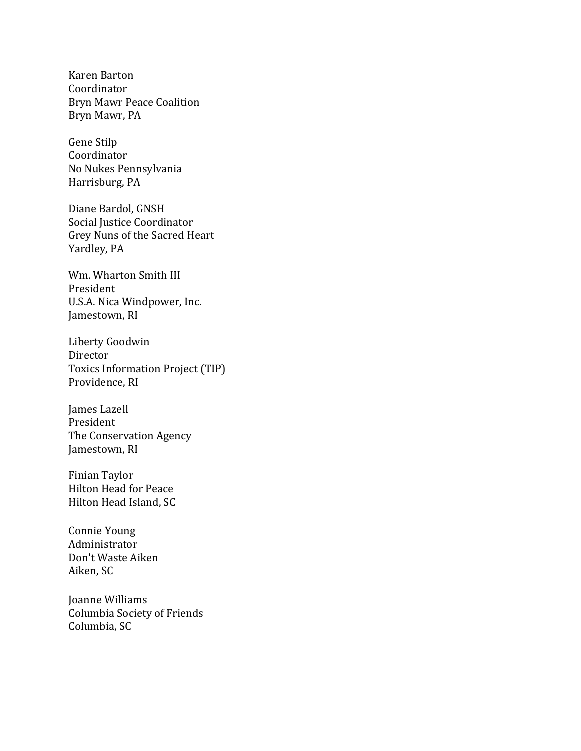Karen Barton Coordinator Bryn Mawr Peace Coalition Bryn Mawr, PA

Gene Stilp Coordinator No Nukes Pennsylvania Harrisburg, PA

Diane Bardol, GNSH Social Justice Coordinator Grey Nuns of the Sacred Heart Yardley, PA

Wm. Wharton Smith III President U.S.A. Nica Windpower, Inc. Jamestown, RI

Liberty Goodwin Director Toxics Information Project (TIP) Providence, RI

James Lazell President The Conservation Agency Jamestown, RI

Finian Taylor Hilton Head for Peace Hilton Head Island, SC

Connie Young Administrator Don't Waste Aiken Aiken, SC

Joanne Williams Columbia Society of Friends Columbia, SC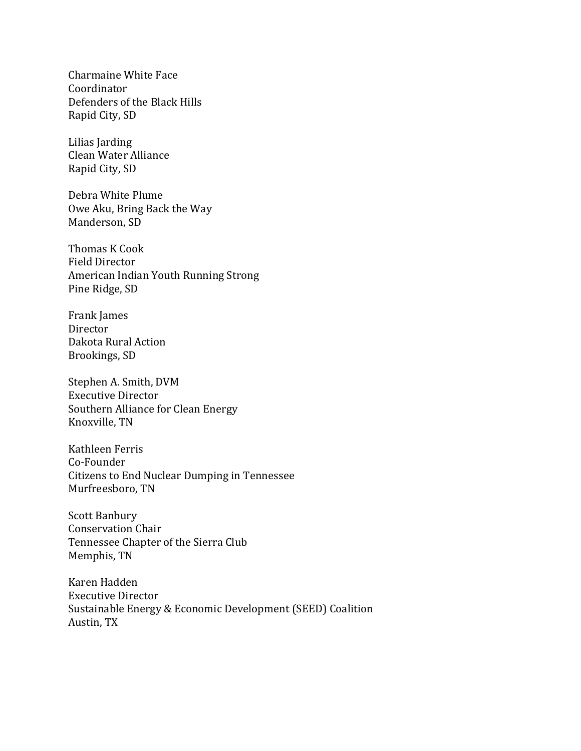Charmaine White Face Coordinator Defenders of the Black Hills Rapid City, SD

Lilias Jarding Clean Water Alliance Rapid City, SD

Debra White Plume Owe Aku, Bring Back the Way Manderson, SD

Thomas K Cook Field Director American Indian Youth Running Strong Pine Ridge, SD

Frank James Director Dakota Rural Action Brookings, SD

Stephen A. Smith, DVM Executive Director Southern Alliance for Clean Energy Knoxville, TN

Kathleen Ferris Co-Founder Citizens to End Nuclear Dumping in Tennessee Murfreesboro, TN

Scott Banbury Conservation Chair Tennessee Chapter of the Sierra Club Memphis, TN

Karen Hadden Executive Director Sustainable Energy & Economic Development (SEED) Coalition Austin, TX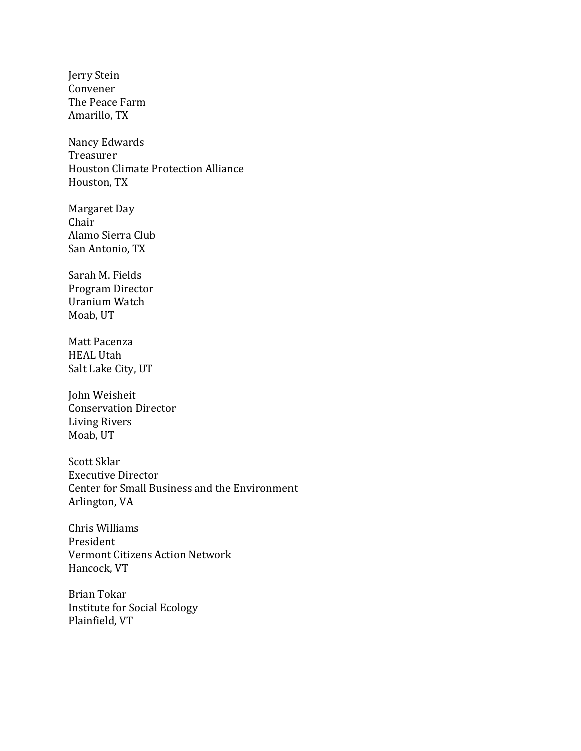Jerry Stein Convener The Peace Farm Amarillo, TX

Nancy Edwards Treasurer Houston Climate Protection Alliance Houston, TX

Margaret Day Chair Alamo Sierra Club San Antonio, TX

Sarah M. Fields Program Director Uranium Watch Moab, UT

Matt Pacenza HEAL Utah Salt Lake City, UT

John Weisheit Conservation Director Living Rivers Moab, UT

Scott Sklar Executive Director Center for Small Business and the Environment Arlington, VA

Chris Williams President Vermont Citizens Action Network Hancock, VT

Brian Tokar Institute for Social Ecology Plainfield, VT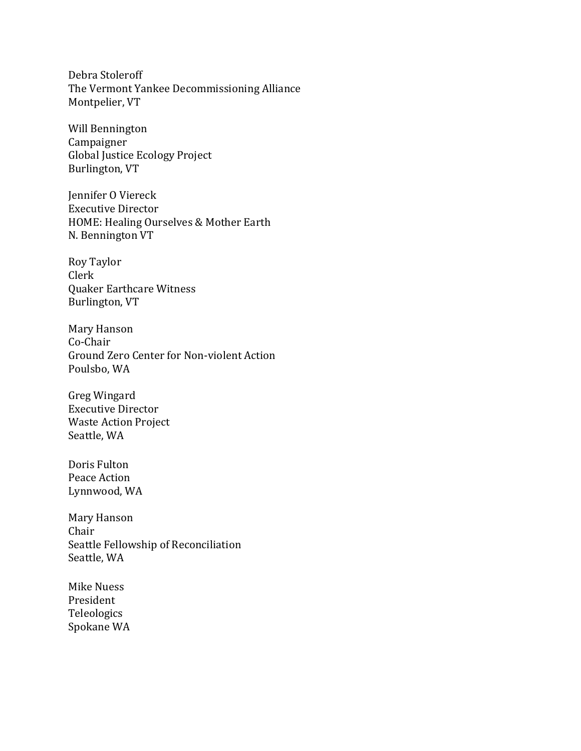Debra Stoleroff The Vermont Yankee Decommissioning Alliance Montpelier, VT

Will Bennington Campaigner Global Justice Ecology Project Burlington, VT

Jennifer O Viereck Executive Director HOME: Healing Ourselves & Mother Earth N. Bennington VT

Roy Taylor Clerk Quaker Earthcare Witness Burlington, VT

Mary Hanson Co-Chair Ground Zero Center for Non-violent Action Poulsbo, WA

Greg Wingard Executive Director Waste Action Project Seattle, WA

Doris Fulton Peace Action Lynnwood, WA

Mary Hanson Chair Seattle Fellowship of Reconciliation Seattle, WA

Mike Nuess President Teleologics Spokane WA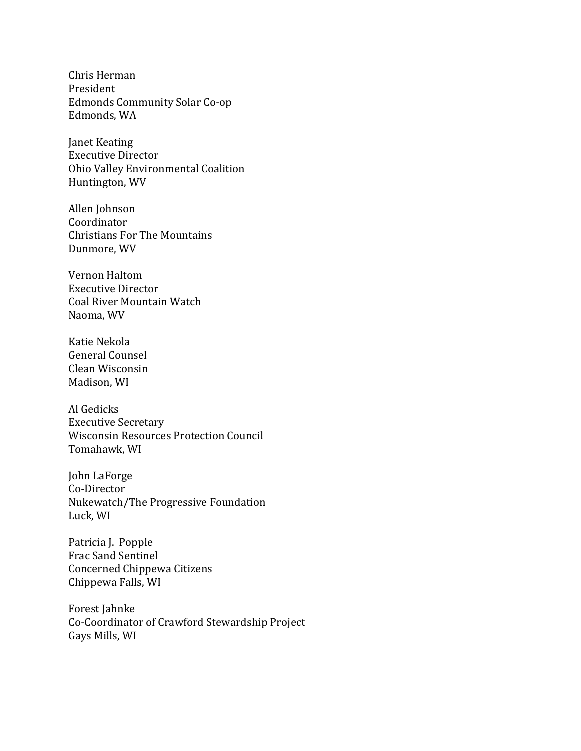Chris Herman President Edmonds Community Solar Co-op Edmonds, WA

Janet Keating Executive Director Ohio Valley Environmental Coalition Huntington, WV

Allen Johnson Coordinator Christians For The Mountains Dunmore, WV

Vernon Haltom Executive Director Coal River Mountain Watch Naoma, WV

Katie Nekola General Counsel Clean Wisconsin Madison, WI

Al Gedicks Executive Secretary Wisconsin Resources Protection Council Tomahawk, WI

John LaForge Co-Director Nukewatch/The Progressive Foundation Luck, WI

Patricia J. Popple Frac Sand Sentinel Concerned Chippewa Citizens Chippewa Falls, WI

Forest Jahnke Co-Coordinator of Crawford Stewardship Project Gays Mills, WI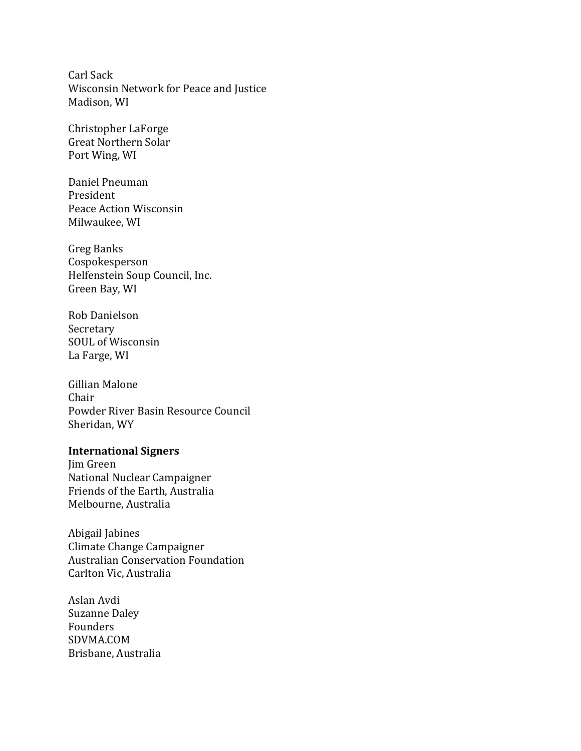Carl Sack Wisconsin Network for Peace and Justice Madison, WI

Christopher LaForge Great Northern Solar Port Wing, WI

Daniel Pneuman President Peace Action Wisconsin Milwaukee, WI

Greg Banks Cospokesperson Helfenstein Soup Council, Inc. Green Bay, WI

Rob Danielson Secretary SOUL of Wisconsin La Farge, WI

Gillian Malone Chair Powder River Basin Resource Council Sheridan, WY

#### **International Signers**

Jim Green National Nuclear Campaigner Friends of the Earth, Australia Melbourne, Australia

Abigail Jabines Climate Change Campaigner Australian Conservation Foundation Carlton Vic, Australia

Aslan Avdi Suzanne Daley Founders SDVMA.COM Brisbane, Australia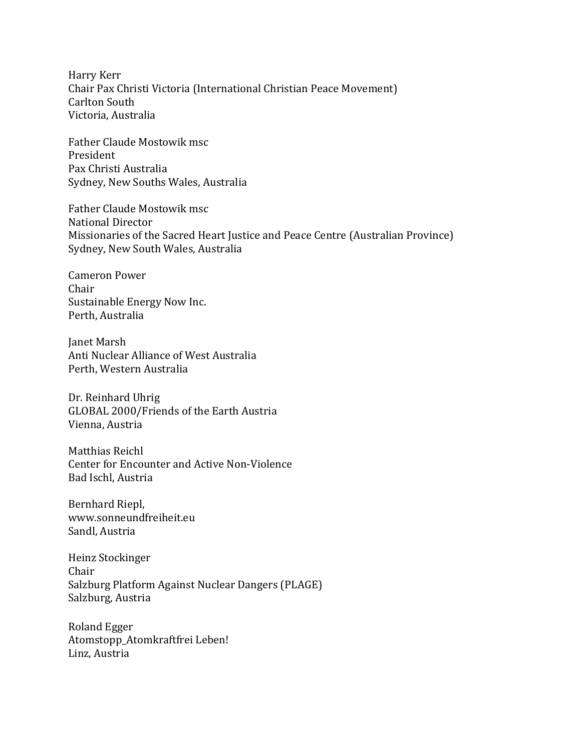Harry Kerr Chair Pax Christi Victoria (International Christian Peace Movement) Carlton South Victoria, Australia

Father Claude Mostowik msc President Pax Christi Australia Sydney, New Souths Wales, Australia

Father Claude Mostowik msc National Director Missionaries of the Sacred Heart Justice and Peace Centre (Australian Province) Sydney, New South Wales, Australia

Cameron Power Chair Sustainable Energy Now Inc. Perth, Australia

Janet Marsh Anti Nuclear Alliance of West Australia Perth, Western Australia

Dr. Reinhard Uhrig GLOBAL 2000/Friends of the Earth Austria Vienna, Austria

Matthias Reichl Center for Encounter and Active Non-Violence Bad Ischl, Austria

Bernhard Riepl, www.sonneundfreiheit.eu Sandl, Austria

Heinz Stockinger Chair Salzburg Platform Against Nuclear Dangers (PLAGE) Salzburg, Austria

Roland Egger Atomstopp\_Atomkraftfrei Leben! Linz, Austria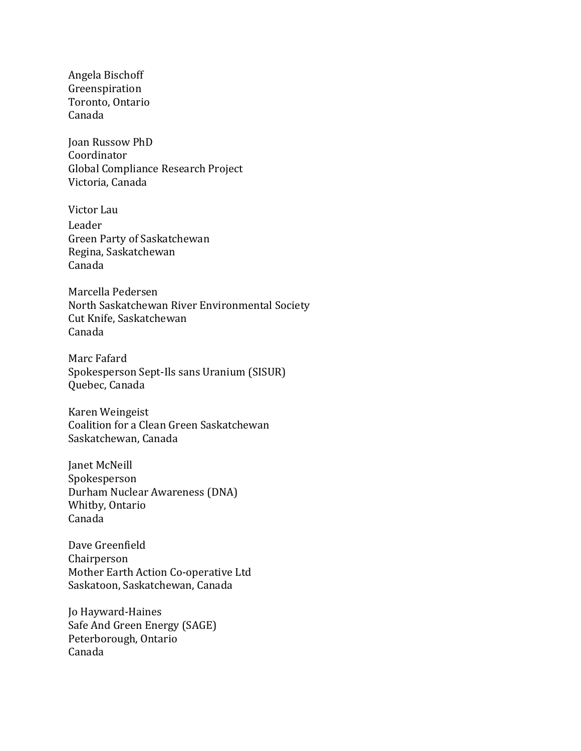Angela Bischoff Greenspiration Toronto, Ontario Canada

Joan Russow PhD Coordinator Global Compliance Research Project Victoria, Canada

Victor Lau Leader Green Party of Saskatchewan Regina, Saskatchewan Canada

Marcella Pedersen North Saskatchewan River Environmental Society Cut Knife, Saskatchewan Canada

Marc Fafard Spokesperson Sept-Ils sans Uranium (SISUR) Quebec, Canada

Karen Weingeist Coalition for a Clean Green Saskatchewan Saskatchewan, Canada

Janet McNeill Spokesperson Durham Nuclear Awareness (DNA) Whitby, Ontario Canada

Dave Greenfield Chairperson Mother Earth Action Co-operative Ltd Saskatoon, Saskatchewan, Canada

Jo Hayward-Haines Safe And Green Energy (SAGE) Peterborough, Ontario Canada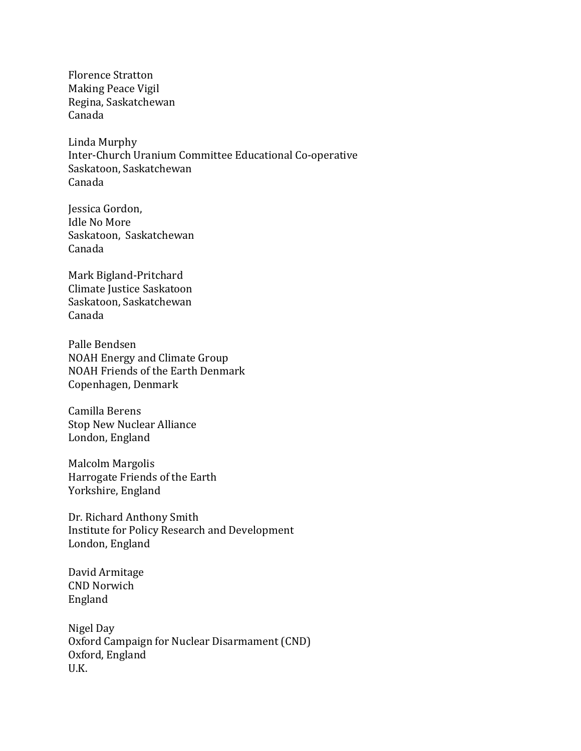Florence Stratton Making Peace Vigil Regina, Saskatchewan Canada

Linda Murphy Inter-Church Uranium Committee Educational Co-operative Saskatoon, Saskatchewan Canada

Jessica Gordon, Idle No More Saskatoon, Saskatchewan Canada

Mark Bigland-Pritchard Climate Justice Saskatoon Saskatoon, Saskatchewan Canada

Palle Bendsen NOAH Energy and Climate Group NOAH Friends of the Earth Denmark Copenhagen, Denmark

Camilla Berens Stop New Nuclear Alliance London, England

Malcolm Margolis Harrogate Friends of the Earth Yorkshire, England

Dr. Richard Anthony Smith Institute for Policy Research and Development London, England

David Armitage CND Norwich England

Nigel Day Oxford Campaign for Nuclear Disarmament (CND) Oxford, England U.K.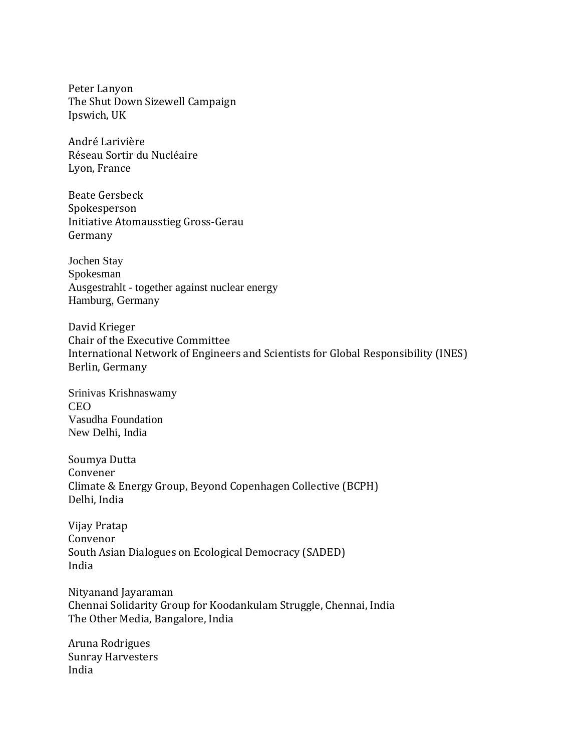Peter Lanyon The Shut Down Sizewell Campaign Ipswich, UK

André Larivière Réseau Sortir du Nucléaire Lyon, France

Beate Gersbeck Spokesperson Initiative Atomausstieg Gross-Gerau Germany

Jochen Stay Spokesman Ausgestrahlt - together against nuclear energy Hamburg, Germany

David Krieger Chair of the Executive Committee International Network of Engineers and Scientists for Global Responsibility (INES) Berlin, Germany

Srinivas Krishnaswamy CEO Vasudha Foundation New Delhi, India

Soumya Dutta Convener Climate & Energy Group, Beyond Copenhagen Collective (BCPH) Delhi, India

Vijay Pratap Convenor South Asian Dialogues on Ecological Democracy (SADED) India

Nityanand Jayaraman Chennai Solidarity Group for Koodankulam Struggle, Chennai, India The Other Media, Bangalore, India

Aruna Rodrigues Sunray Harvesters India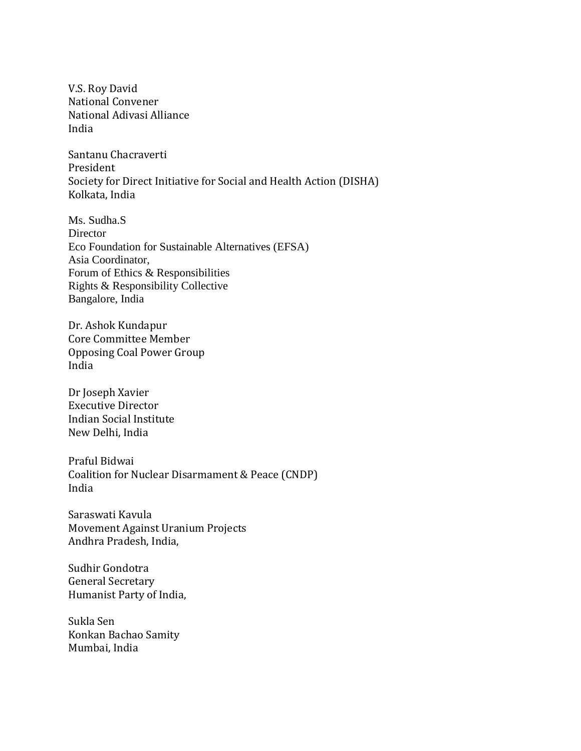V.S. Roy David National Convener National Adivasi Alliance India

Santanu Chacraverti President Society for Direct Initiative for Social and Health Action (DISHA) Kolkata, India

Ms. Sudha.S **Director** Eco Foundation for Sustainable Alternatives (EFSA) Asia Coordinator, Forum of Ethics & Responsibilities Rights & Responsibility Collective Bangalore, India

Dr. Ashok Kundapur Core Committee Member Opposing Coal Power Group India

Dr Joseph Xavier Executive Director Indian Social Institute New Delhi, India

Praful Bidwai Coalition for Nuclear Disarmament & Peace (CNDP) India

Saraswati Kavula Movement Against Uranium Projects Andhra Pradesh, India,

Sudhir Gondotra General Secretary Humanist Party of India,

Sukla Sen Konkan Bachao Samity Mumbai, India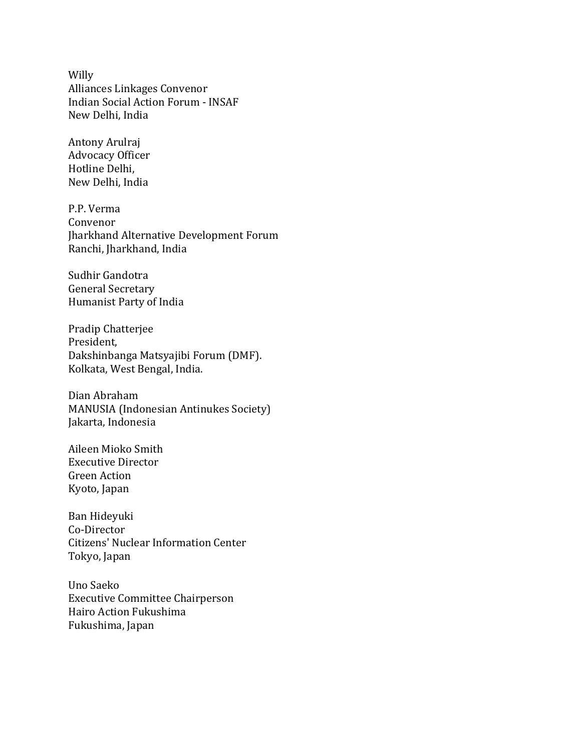Willy Alliances Linkages Convenor Indian Social Action Forum - INSAF New Delhi, India

Antony Arulraj Advocacy Officer Hotline Delhi, New Delhi, India

P.P. Verma Convenor Jharkhand Alternative Development Forum Ranchi, Jharkhand, India

Sudhir Gandotra General Secretary Humanist Party of India

Pradip Chatterjee President, Dakshinbanga Matsyajibi Forum (DMF). Kolkata, West Bengal, India.

Dian Abraham MANUSIA (Indonesian Antinukes Society) Jakarta, Indonesia

Aileen Mioko Smith Executive Director Green Action Kyoto, Japan

Ban Hideyuki Co-Director Citizens' Nuclear Information Center Tokyo, Japan

Uno Saeko Executive Committee Chairperson Hairo Action Fukushima Fukushima, Japan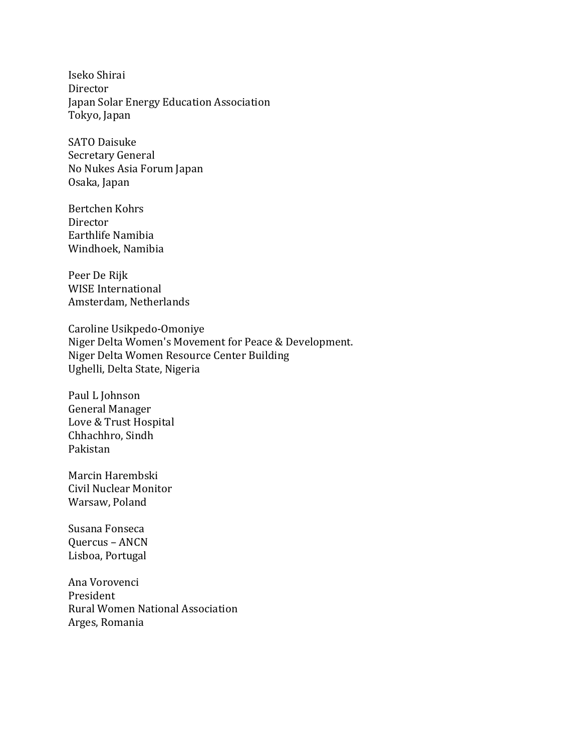Iseko Shirai Director Japan Solar Energy Education Association Tokyo, Japan

SATO Daisuke Secretary General No Nukes Asia Forum Japan Osaka, Japan

Bertchen Kohrs Director Earthlife Namibia Windhoek, Namibia

Peer De Rijk WISE International Amsterdam, Netherlands

Caroline Usikpedo-Omoniye Niger Delta Women's Movement for Peace & Development. Niger Delta Women Resource Center Building Ughelli, Delta State, Nigeria

Paul L Johnson General Manager Love & Trust Hospital Chhachhro, Sindh Pakistan

Marcin Harembski Civil Nuclear Monitor Warsaw, Poland

Susana Fonseca Quercus – ANCN Lisboa, Portugal

Ana Vorovenci President Rural Women National Association Arges, Romania